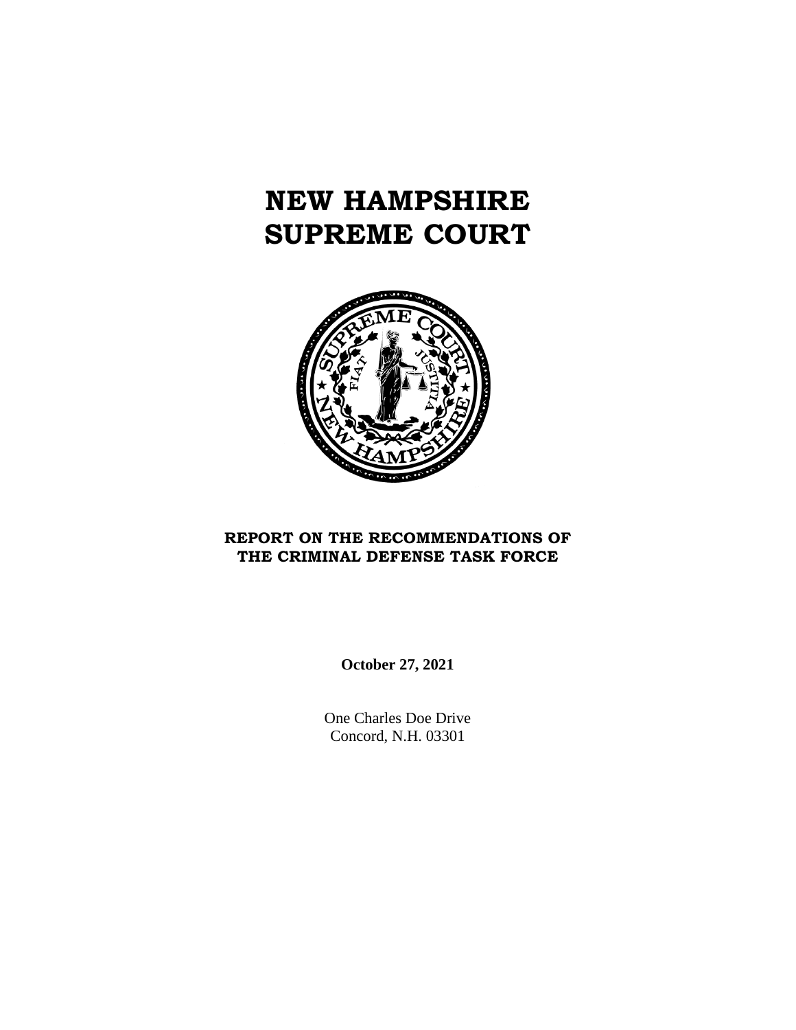# **NEW HAMPSHIRE SUPREME COURT**



# **REPORT ON THE RECOMMENDATIONS OF THE CRIMINAL DEFENSE TASK FORCE**

**October 27, 2021**

One Charles Doe Drive Concord, N.H. 03301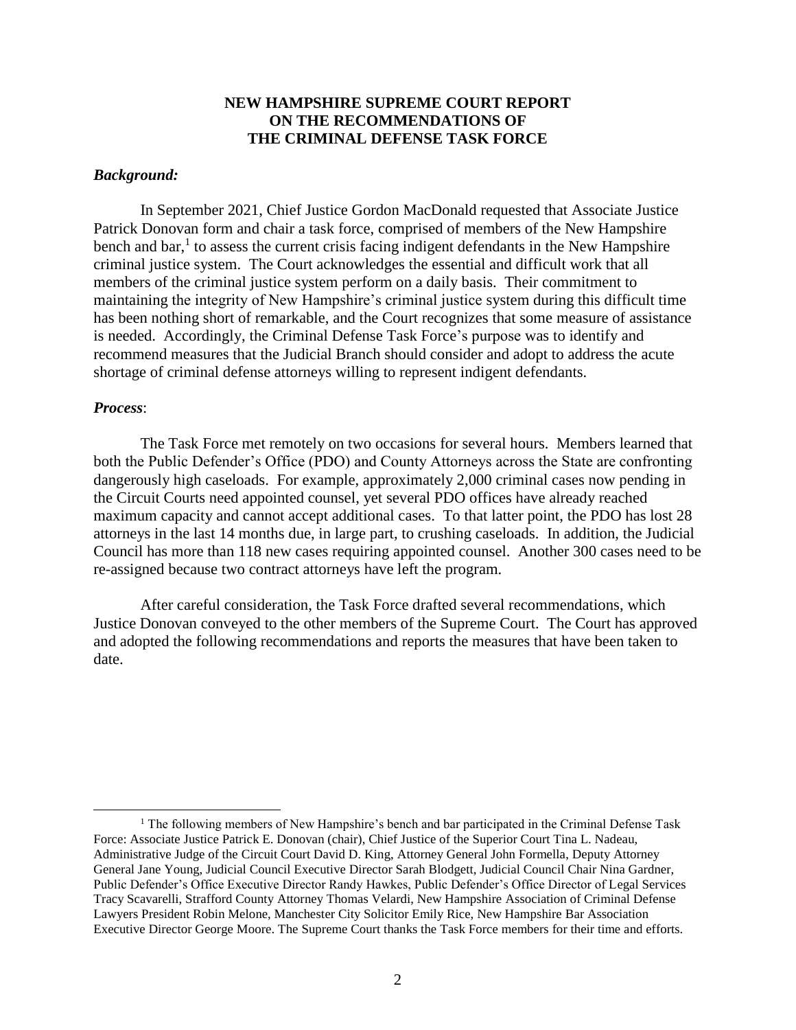## **NEW HAMPSHIRE SUPREME COURT REPORT ON THE RECOMMENDATIONS OF THE CRIMINAL DEFENSE TASK FORCE**

#### *Background:*

In September 2021, Chief Justice Gordon MacDonald requested that Associate Justice Patrick Donovan form and chair a task force, comprised of members of the New Hampshire bench and  $bar$ ,<sup>1</sup> to assess the current crisis facing indigent defendants in the New Hampshire criminal justice system. The Court acknowledges the essential and difficult work that all members of the criminal justice system perform on a daily basis. Their commitment to maintaining the integrity of New Hampshire's criminal justice system during this difficult time has been nothing short of remarkable, and the Court recognizes that some measure of assistance is needed. Accordingly, the Criminal Defense Task Force's purpose was to identify and recommend measures that the Judicial Branch should consider and adopt to address the acute shortage of criminal defense attorneys willing to represent indigent defendants.

#### *Process*:

 $\overline{a}$ 

The Task Force met remotely on two occasions for several hours. Members learned that both the Public Defender's Office (PDO) and County Attorneys across the State are confronting dangerously high caseloads. For example, approximately 2,000 criminal cases now pending in the Circuit Courts need appointed counsel, yet several PDO offices have already reached maximum capacity and cannot accept additional cases. To that latter point, the PDO has lost 28 attorneys in the last 14 months due, in large part, to crushing caseloads. In addition, the Judicial Council has more than 118 new cases requiring appointed counsel. Another 300 cases need to be re-assigned because two contract attorneys have left the program.

After careful consideration, the Task Force drafted several recommendations, which Justice Donovan conveyed to the other members of the Supreme Court. The Court has approved and adopted the following recommendations and reports the measures that have been taken to date.

<sup>&</sup>lt;sup>1</sup> The following members of New Hampshire's bench and bar participated in the Criminal Defense Task Force: Associate Justice Patrick E. Donovan (chair), Chief Justice of the Superior Court Tina L. Nadeau, Administrative Judge of the Circuit Court David D. King, Attorney General John Formella, Deputy Attorney General Jane Young, Judicial Council Executive Director Sarah Blodgett, Judicial Council Chair Nina Gardner, Public Defender's Office Executive Director Randy Hawkes, Public Defender's Office Director of Legal Services Tracy Scavarelli, Strafford County Attorney Thomas Velardi, New Hampshire Association of Criminal Defense Lawyers President Robin Melone, Manchester City Solicitor Emily Rice, New Hampshire Bar Association Executive Director George Moore. The Supreme Court thanks the Task Force members for their time and efforts.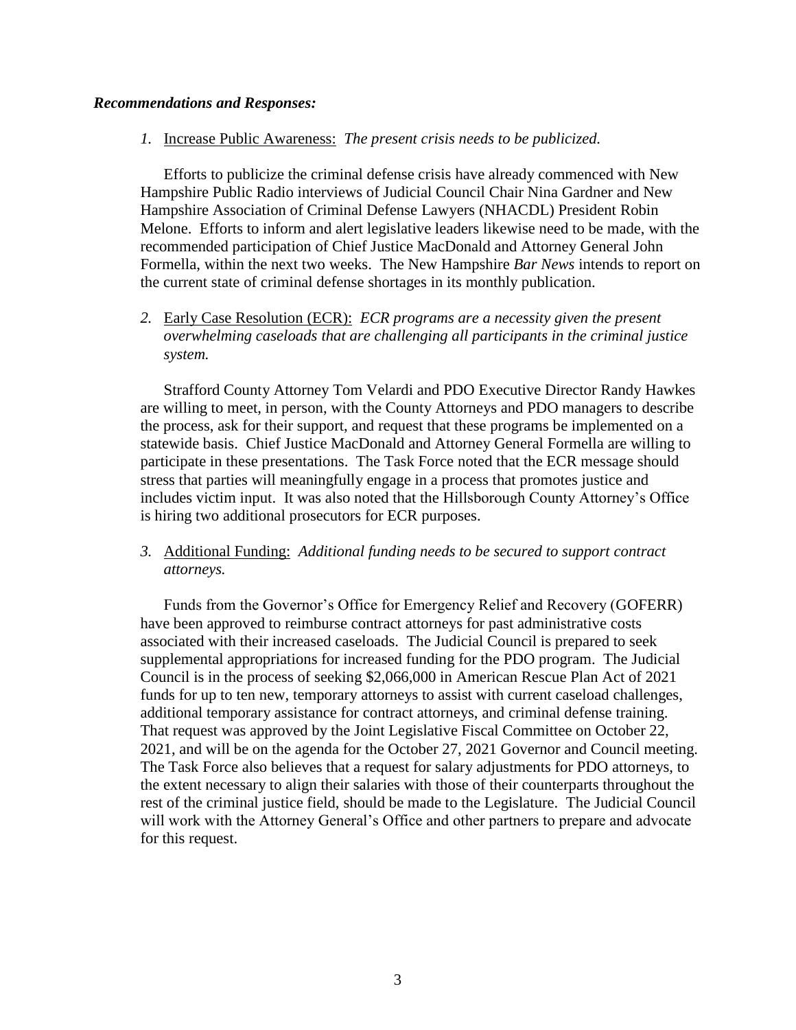### *Recommendations and Responses:*

## *1.* Increase Public Awareness: *The present crisis needs to be publicized.*

Efforts to publicize the criminal defense crisis have already commenced with New Hampshire Public Radio interviews of Judicial Council Chair Nina Gardner and New Hampshire Association of Criminal Defense Lawyers (NHACDL) President Robin Melone. Efforts to inform and alert legislative leaders likewise need to be made, with the recommended participation of Chief Justice MacDonald and Attorney General John Formella, within the next two weeks. The New Hampshire *Bar News* intends to report on the current state of criminal defense shortages in its monthly publication.

*2.* Early Case Resolution (ECR): *ECR programs are a necessity given the present overwhelming caseloads that are challenging all participants in the criminal justice system.* 

Strafford County Attorney Tom Velardi and PDO Executive Director Randy Hawkes are willing to meet, in person, with the County Attorneys and PDO managers to describe the process, ask for their support, and request that these programs be implemented on a statewide basis. Chief Justice MacDonald and Attorney General Formella are willing to participate in these presentations. The Task Force noted that the ECR message should stress that parties will meaningfully engage in a process that promotes justice and includes victim input. It was also noted that the Hillsborough County Attorney's Office is hiring two additional prosecutors for ECR purposes.

## *3.* Additional Funding: *Additional funding needs to be secured to support contract attorneys.*

Funds from the Governor's Office for Emergency Relief and Recovery (GOFERR) have been approved to reimburse contract attorneys for past administrative costs associated with their increased caseloads. The Judicial Council is prepared to seek supplemental appropriations for increased funding for the PDO program. The Judicial Council is in the process of seeking \$2,066,000 in American Rescue Plan Act of 2021 funds for up to ten new, temporary attorneys to assist with current caseload challenges, additional temporary assistance for contract attorneys, and criminal defense training. That request was approved by the Joint Legislative Fiscal Committee on October 22, 2021, and will be on the agenda for the October 27, 2021 Governor and Council meeting. The Task Force also believes that a request for salary adjustments for PDO attorneys, to the extent necessary to align their salaries with those of their counterparts throughout the rest of the criminal justice field, should be made to the Legislature. The Judicial Council will work with the Attorney General's Office and other partners to prepare and advocate for this request.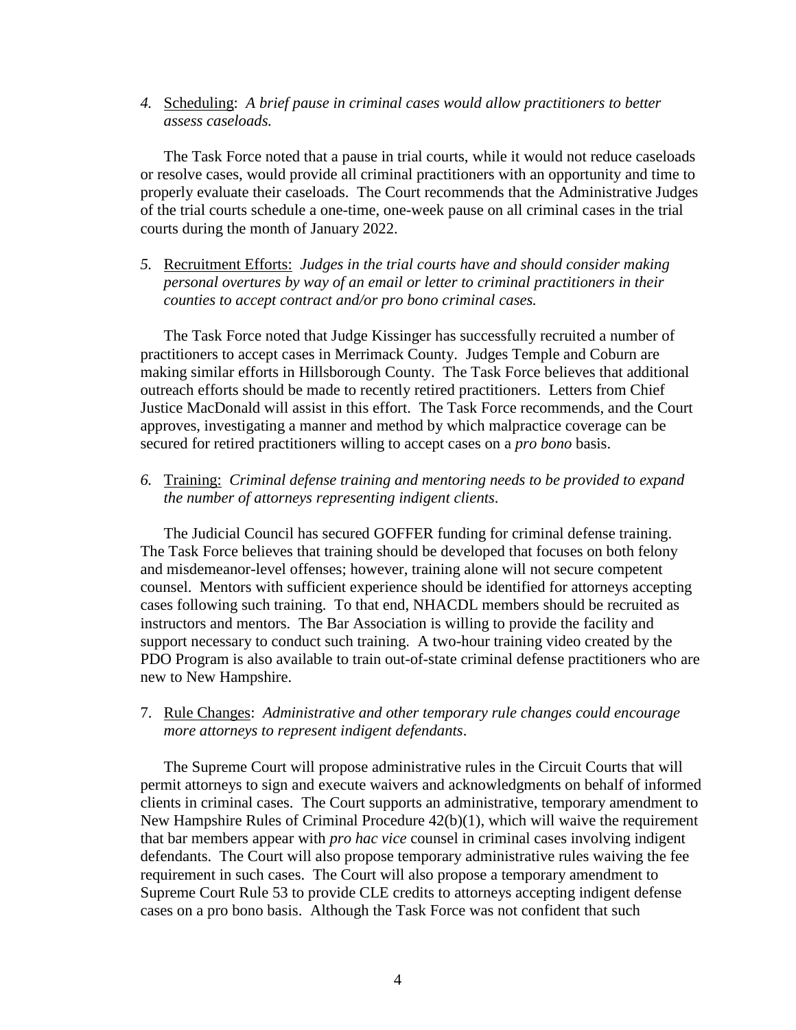*4.* Scheduling: *A brief pause in criminal cases would allow practitioners to better assess caseloads.*

The Task Force noted that a pause in trial courts, while it would not reduce caseloads or resolve cases, would provide all criminal practitioners with an opportunity and time to properly evaluate their caseloads. The Court recommends that the Administrative Judges of the trial courts schedule a one-time, one-week pause on all criminal cases in the trial courts during the month of January 2022.

*5.* Recruitment Efforts: *Judges in the trial courts have and should consider making personal overtures by way of an email or letter to criminal practitioners in their counties to accept contract and/or pro bono criminal cases.*

The Task Force noted that Judge Kissinger has successfully recruited a number of practitioners to accept cases in Merrimack County. Judges Temple and Coburn are making similar efforts in Hillsborough County. The Task Force believes that additional outreach efforts should be made to recently retired practitioners. Letters from Chief Justice MacDonald will assist in this effort. The Task Force recommends, and the Court approves, investigating a manner and method by which malpractice coverage can be secured for retired practitioners willing to accept cases on a *pro bono* basis.

*6.* Training: *Criminal defense training and mentoring needs to be provided to expand the number of attorneys representing indigent clients.*

The Judicial Council has secured GOFFER funding for criminal defense training. The Task Force believes that training should be developed that focuses on both felony and misdemeanor-level offenses; however, training alone will not secure competent counsel. Mentors with sufficient experience should be identified for attorneys accepting cases following such training. To that end, NHACDL members should be recruited as instructors and mentors. The Bar Association is willing to provide the facility and support necessary to conduct such training. A two-hour training video created by the PDO Program is also available to train out-of-state criminal defense practitioners who are new to New Hampshire.

7. Rule Changes: *Administrative and other temporary rule changes could encourage more attorneys to represent indigent defendants*.

The Supreme Court will propose administrative rules in the Circuit Courts that will permit attorneys to sign and execute waivers and acknowledgments on behalf of informed clients in criminal cases. The Court supports an administrative, temporary amendment to New Hampshire Rules of Criminal Procedure 42(b)(1), which will waive the requirement that bar members appear with *pro hac vice* counsel in criminal cases involving indigent defendants. The Court will also propose temporary administrative rules waiving the fee requirement in such cases. The Court will also propose a temporary amendment to Supreme Court Rule 53 to provide CLE credits to attorneys accepting indigent defense cases on a pro bono basis. Although the Task Force was not confident that such